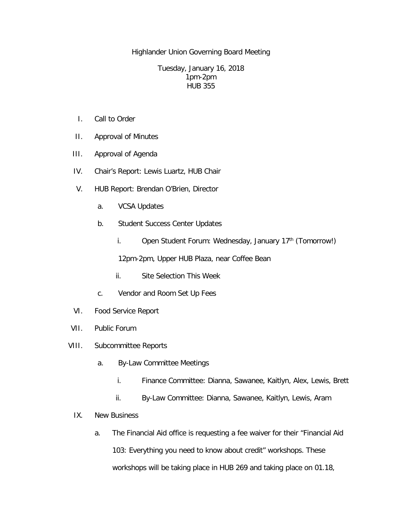Highlander Union Governing Board Meeting

Tuesday, January 16, 2018 1pm-2pm HUB 355

- I. Call to Order
- II. Approval of Minutes
- III. Approval of Agenda
- IV. Chair's Report: Lewis Luartz, HUB Chair
- V. HUB Report: Brendan O'Brien, Director
	- a. VCSA Updates
	- b. Student Success Center Updates
		- i. Open Student Forum: Wednesday, January  $17<sup>th</sup>$  (Tomorrow!)

12pm-2pm, Upper HUB Plaza, near Coffee Bean

- ii. Site Selection This Week
- c. Vendor and Room Set Up Fees
- VI. Food Service Report
- VII. Public Forum
- VIII. Subcommittee Reports
	- a. By-Law Committee Meetings
		- i. Finance Committee: Dianna, Sawanee, Kaitlyn, Alex, Lewis, Brett
		- ii. By-Law Committee: Dianna, Sawanee, Kaitlyn, Lewis, Aram

## IX. New Business

a. The Financial Aid office is requesting a fee waiver for their "Financial Aid 103: Everything you need to know about credit" workshops. These workshops will be taking place in HUB 269 and taking place on 01.18,